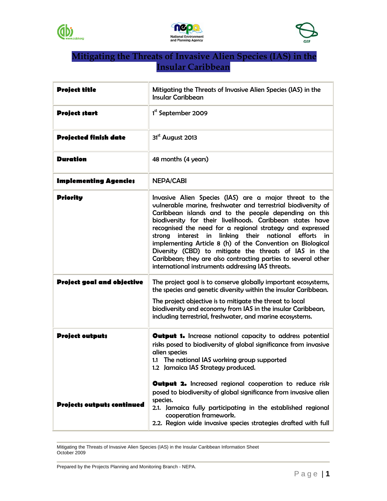





## **Mitigating the Threats of Invasive Alien Species (IAS) in the Insular Caribbean**

| <b>Project title</b>              | Mitigating the Threats of Invasive Alien Species (IAS) in the<br><b>Insular Caribbean</b>                                                                                                                                                                                                                                                                                                                                                                                                                                                                                                                                   |
|-----------------------------------|-----------------------------------------------------------------------------------------------------------------------------------------------------------------------------------------------------------------------------------------------------------------------------------------------------------------------------------------------------------------------------------------------------------------------------------------------------------------------------------------------------------------------------------------------------------------------------------------------------------------------------|
| <b>Project start</b>              | 1 <sup>st</sup> September 2009                                                                                                                                                                                                                                                                                                                                                                                                                                                                                                                                                                                              |
| <b>Projected finish date</b>      | $31st$ August 2013                                                                                                                                                                                                                                                                                                                                                                                                                                                                                                                                                                                                          |
| <b>Duration</b>                   | 48 months (4 years)                                                                                                                                                                                                                                                                                                                                                                                                                                                                                                                                                                                                         |
| <b>Implementing Agencies</b>      | <b>NEPA/CABI</b>                                                                                                                                                                                                                                                                                                                                                                                                                                                                                                                                                                                                            |
| <b>Priority</b>                   | Invasive Alien Species (IAS) are a major threat to the<br>vulnerable marine, freshwater and terrestrial biodiversity of<br>Caribbean islands and to the people depending on this<br>biodiversity for their livelihoods. Caribbean states have<br>recognised the need for a regional strategy and expressed<br>in linking their<br>interest<br>national<br>strong<br>efforts in<br>implementing Article 8 (h) of the Convention on Biological<br>Diversity (CBD) to mitigate the threats of IAS in the<br>Caribbean; they are also contracting parties to several other<br>international instruments addressing IAS threats. |
| <b>Project goal and objective</b> | The project goal is to conserve globally important ecosystems,<br>the species and genetic diversity within the insular Caribbean.<br>The project objective is to mitigate the threat to local<br>biodiversity and economy from IAS in the insular Caribbean,<br>including terrestrial, freshwater, and marine ecosystems.                                                                                                                                                                                                                                                                                                   |
| <b>Project outputs</b>            | <b>Output 1.</b> Increase national capacity to address potential<br>risks posed to biodiversity of global significance from invasive<br>alien species<br>1.1 The national IAS working group supported<br>1.2 Jamaica IAS Strategy produced.                                                                                                                                                                                                                                                                                                                                                                                 |
| <b>Projects outputs continued</b> | Output 2. Increased regional cooperation to reduce risk<br>posed to biodiversity of global significance from invasive alien<br>species.<br>2.1. Jamaica fully participating in the established regional<br>cooperation framework.<br>2.2. Region wide invasive species strategies drafted with full                                                                                                                                                                                                                                                                                                                         |

Mitigating the Threats of Invasive Alien Species (IAS) in the Insular Caribbean Information Sheet October 2009